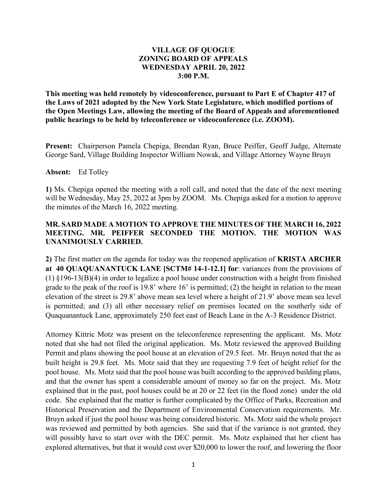## **VILLAGE OF QUOGUE ZONING BOARD OF APPEALS WEDNESDAY APRIL 20, 2022 3:00 P.M.**

**This meeting was held remotely by videoconference, pursuant to Part E of Chapter 417 of the Laws of 2021 adopted by the New York State Legislature, which modified portions of the Open Meetings Law, allowing the meeting of the Board of Appeals and aforementioned public hearings to be held by teleconference or videoconference (i.e. ZOOM).** 

**Present:** Chairperson Pamela Chepiga, Brendan Ryan, Bruce Peiffer, Geoff Judge, Alternate George Sard, Village Building Inspector William Nowak, and Village Attorney Wayne Bruyn

## **Absent:** Ed Tolley

**1)** Ms. Chepiga opened the meeting with a roll call, and noted that the date of the next meeting will be Wednesday, May 25, 2022 at 3pm by ZOOM. Ms. Chepiga asked for a motion to approve the minutes of the March 16, 2022 meeting.

## **MR. SARD MADE A MOTION TO APPROVE THE MINUTES OF THE MARCH 16, 2022 MEETING. MR. PEIFFER SECONDED THE MOTION. THE MOTION WAS UNANIMOUSLY CARRIED.**

**2)** The first matter on the agenda for today was the reopened application of **KRISTA ARCHER at 40 QUAQUANANTUCK LANE [SCTM# 14-1-12.1] for**: variances from the provisions of (1) §196-13(B)(4) in order to legalize a pool house under construction with a height from finished grade to the peak of the roof is 19.8' where 16' is permitted; (2) the height in relation to the mean elevation of the street is 29.8' above mean sea level where a height of 21.9' above mean sea level is permitted; and (3) all other necessary relief on premises located on the southerly side of Quaquanantuck Lane, approximately 250 feet east of Beach Lane in the A-3 Residence District.

Attorney Kittric Motz was present on the teleconference representing the applicant. Ms. Motz noted that she had not filed the original application. Ms. Motz reviewed the approved Building Permit and plans showing the pool house at an elevation of 29.5 feet. Mr. Bruyn noted that the as built height is 29.8 feet. Ms. Motz said that they are requesting 7.9 feet of height relief for the pool house. Ms. Motz said that the pool house was built according to the approved building plans, and that the owner has spent a considerable amount of money so far on the project. Ms. Motz explained that in the past, pool houses could be at 20 or 22 feet (in the flood zone) under the old code. She explained that the matter is further complicated by the Office of Parks, Recreation and Historical Preservation and the Department of Environmental Conservation requirements. Mr. Bruyn asked if just the pool house was being considered historic. Ms. Motz said the whole project was reviewed and permitted by both agencies. She said that if the variance is not granted, they will possibly have to start over with the DEC permit. Ms. Motz explained that her client has explored alternatives, but that it would cost over \$20,000 to lower the roof, and lowering the floor